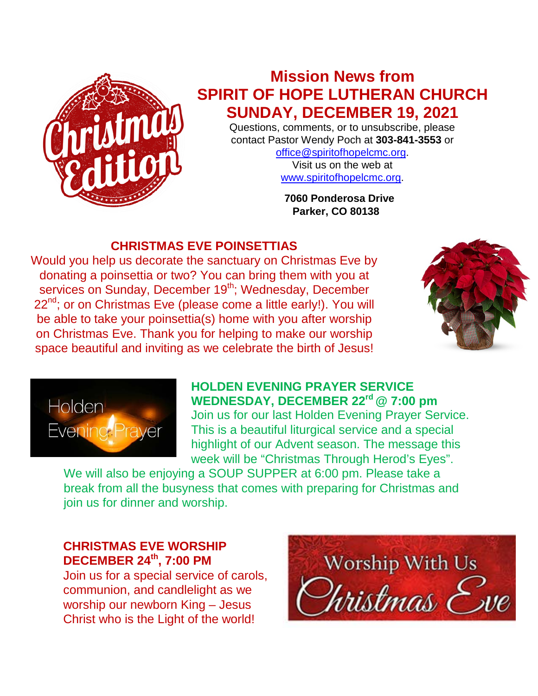

# **Mission News from SPIRIT OF HOPE LUTHERAN CHURCH SUNDAY, DECEMBER 19, 2021**

Questions, comments, or to unsubscribe, please contact Pastor Wendy Poch at **303-841-3553** or

[office@spiritofhopelcmc.org.](mailto:office@spiritofhopelcmc.org) Visit us on the web at [www.spiritofhopelcmc.org.](http://www.spiritofhopelcmc.org/)

 **7060 Ponderosa Drive Parker, CO 80138**

## **CHRISTMAS EVE POINSETTIAS**

Would you help us decorate the sanctuary on Christmas Eve by donating a poinsettia or two? You can bring them with you at services on Sunday, December 19<sup>th</sup>; Wednesday, December 22<sup>nd</sup>; or on Christmas Eve (please come a little early!). You will be able to take your poinsettia(s) home with you after worship on Christmas Eve. Thank you for helping to make our worship space beautiful and inviting as we celebrate the birth of Jesus!





#### **HOLDEN EVENING PRAYER SERVICE** WEDNESDAY, DECEMBER 22<sup>rd</sup> @ 7:00 pm Join us for our last Holden Evening Prayer Service. This is a beautiful liturgical service and a special highlight of our Advent season. The message this week will be "Christmas Through Herod's Eyes".

We will also be enjoying a SOUP SUPPER at 6:00 pm. Please take a break from all the busyness that comes with preparing for Christmas and join us for dinner and worship.

## **CHRISTMAS EVE WORSHIP DECEMBER 24th, 7:00 PM**

Join us for a special service of carols, communion, and candlelight as we worship our newborn King – Jesus Christ who is the Light of the world!

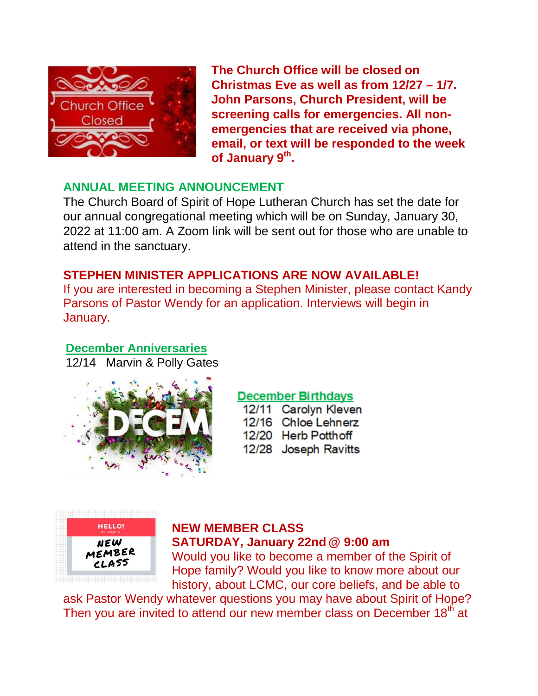

**The Church Office will be closed on Christmas Eve as well as from 12/27 – 1/7. John Parsons, Church President, will be screening calls for emergencies. All nonemergencies that are received via phone, email, or text will be responded to the week of January 9th.**

## **ANNUAL MEETING ANNOUNCEMENT**

The Church Board of Spirit of Hope Lutheran Church has set the date for our annual congregational meeting which will be on Sunday, January 30, 2022 at 11:00 am. A Zoom link will be sent out for those who are unable to attend in the sanctuary.

## **STEPHEN MINISTER APPLICATIONS ARE NOW AVAILABLE!**

If you are interested in becoming a Stephen Minister, please contact Kandy Parsons of Pastor Wendy for an application. Interviews will begin in January.

#### **December Anniversaries**

12/14 Marvin & Polly Gates



## **December Birthdays**

12/11 Carolyn Kleven 12/16 Chloe Lehnerz 12/20 Herb Potthoff 12/28 Joseph Ravitts



#### **NEW MEMBER CLASS SATURDAY, January 22nd @ 9:00 am**

Would you like to become a member of the Spirit of Hope family? Would you like to know more about our history, about LCMC, our core beliefs, and be able to

ask Pastor Wendy whatever questions you may have about Spirit of Hope? Then you are invited to attend our new member class on December 18<sup>th</sup> at